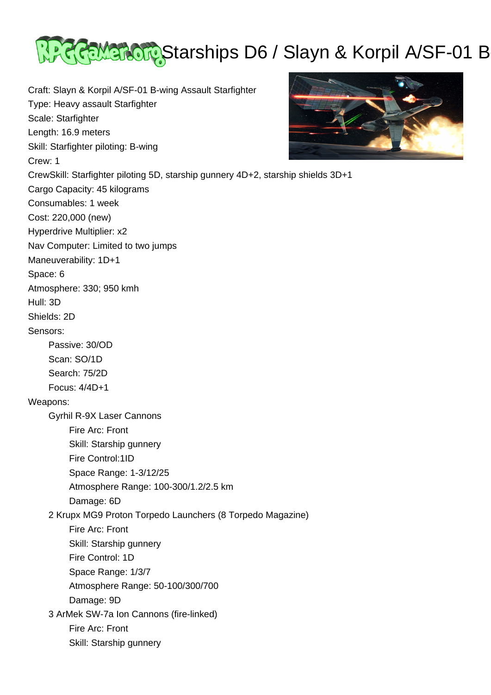

Craft: Slayn & Korpil A/SF-01 B-wing Assault Starfighter Type: Heavy assault Starfighter Scale: Starfighter Length: 16.9 meters Skill: Starfighter piloting: B-wing Crew: 1 CrewSkill: Starfighter piloting 5D, starship gunnery 4D+2, starship shields 3D+1 Cargo Capacity: 45 kilograms Consumables: 1 week Cost: 220,000 (new) Hyperdrive Multiplier: x2 Nav Computer: Limited to two jumps Maneuverability: 1D+1 Space: 6 Atmosphere: 330; 950 kmh Hull: 3D Shields: 2D Sensors: Passive: 30/OD Scan: SO/1D Search: 75/2D Focus: 4/4D+1 Weapons: Gyrhil R-9X Laser Cannons Fire Arc: Front Skill: Starship gunnery Fire Control:1ID Space Range: 1-3/12/25 Atmosphere Range: 100-300/1.2/2.5 km Damage: 6D 2 Krupx MG9 Proton Torpedo Launchers (8 Torpedo Magazine) Fire Arc: Front Skill: Starship gunnery Fire Control: 1D Space Range: 1/3/7 Atmosphere Range: 50-100/300/700 Damage: 9D 3 ArMek SW-7a Ion Cannons (fire-linked) Fire Arc: Front Skill: Starship gunnery

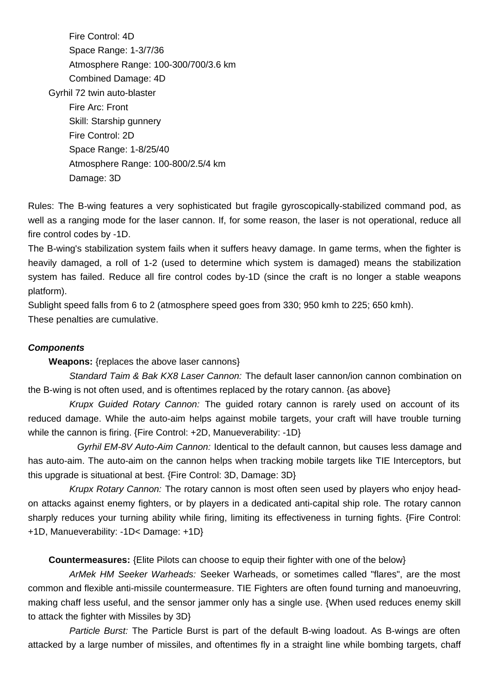Fire Control: 4D Space Range: 1-3/7/36 Atmosphere Range: 100-300/700/3.6 km Combined Damage: 4D Gyrhil 72 twin auto-blaster Fire Arc: Front Skill: Starship gunnery Fire Control: 2D Space Range: 1-8/25/40 Atmosphere Range: 100-800/2.5/4 km Damage: 3D

Rules: The B-wing features a very sophisticated but fragile gyroscopically-stabilized command pod, as well as a ranging mode for the laser cannon. If, for some reason, the laser is not operational, reduce all fire control codes by -1D.

The B-wing's stabilization system fails when it suffers heavy damage. In game terms, when the fighter is heavily damaged, a roll of 1-2 (used to determine which system is damaged) means the stabilization system has failed. Reduce all fire control codes by-1D (since the craft is no longer a stable weapons platform).

Sublight speed falls from 6 to 2 (atmosphere speed goes from 330; 950 kmh to 225; 650 kmh). These penalties are cumulative.

## **Components**

**Weapons:** {replaces the above laser cannons}

Standard Taim & Bak KX8 Laser Cannon: The default laser cannon/ion cannon combination on the B-wing is not often used, and is oftentimes replaced by the rotary cannon. {as above}

 Krupx Guided Rotary Cannon: The guided rotary cannon is rarely used on account of its reduced damage. While the auto-aim helps against mobile targets, your craft will have trouble turning while the cannon is firing. {Fire Control: +2D, Manueverability: -1D}

 Gyrhil EM-8V Auto-Aim Cannon: Identical to the default cannon, but causes less damage and has auto-aim. The auto-aim on the cannon helps when tracking mobile targets like TIE Interceptors, but this upgrade is situational at best. {Fire Control: 3D, Damage: 3D}

Krupx Rotary Cannon: The rotary cannon is most often seen used by players who enjoy headon attacks against enemy fighters, or by players in a dedicated anti-capital ship role. The rotary cannon sharply reduces your turning ability while firing, limiting its effectiveness in turning fights. {Fire Control: +1D, Manueverability: -1D< Damage: +1D}

**Countermeasures:** {Elite Pilots can choose to equip their fighter with one of the below}

 ArMek HM Seeker Warheads: Seeker Warheads, or sometimes called "flares", are the most common and flexible anti-missile countermeasure. TIE Fighters are often found turning and manoeuvring, making chaff less useful, and the sensor jammer only has a single use. {When used reduces enemy skill to attack the fighter with Missiles by 3D}

 Particle Burst: The Particle Burst is part of the default B-wing loadout. As B-wings are often attacked by a large number of missiles, and oftentimes fly in a straight line while bombing targets, chaff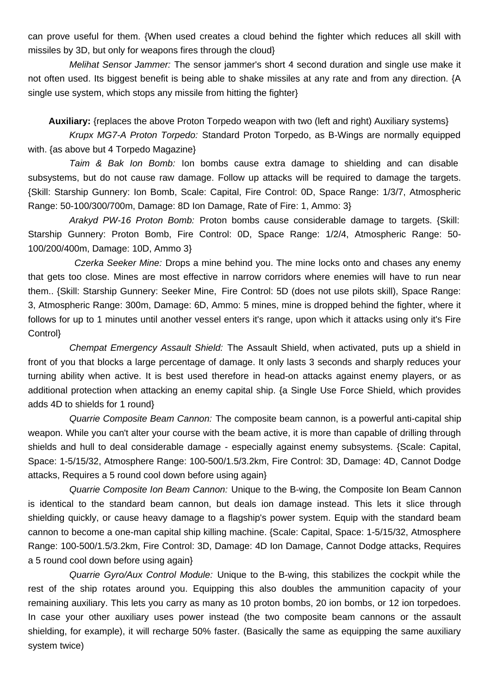can prove useful for them. {When used creates a cloud behind the fighter which reduces all skill with missiles by 3D, but only for weapons fires through the cloud}

 Melihat Sensor Jammer: The sensor jammer's short 4 second duration and single use make it not often used. Its biggest benefit is being able to shake missiles at any rate and from any direction. {A single use system, which stops any missile from hitting the fighter}

**Auxiliary:** {replaces the above Proton Torpedo weapon with two (left and right) Auxiliary systems}

 Krupx MG7-A Proton Torpedo: Standard Proton Torpedo, as B-Wings are normally equipped with. {as above but 4 Torpedo Magazine}

 Taim & Bak Ion Bomb: Ion bombs cause extra damage to shielding and can disable subsystems, but do not cause raw damage. Follow up attacks will be required to damage the targets. {Skill: Starship Gunnery: Ion Bomb, Scale: Capital, Fire Control: 0D, Space Range: 1/3/7, Atmospheric Range: 50-100/300/700m, Damage: 8D Ion Damage, Rate of Fire: 1, Ammo: 3}

 Arakyd PW-16 Proton Bomb: Proton bombs cause considerable damage to targets. {Skill: Starship Gunnery: Proton Bomb, Fire Control: 0D, Space Range: 1/2/4, Atmospheric Range: 50- 100/200/400m, Damage: 10D, Ammo 3}

 Czerka Seeker Mine: Drops a mine behind you. The mine locks onto and chases any enemy that gets too close. Mines are most effective in narrow corridors where enemies will have to run near them.. {Skill: Starship Gunnery: Seeker Mine, Fire Control: 5D (does not use pilots skill), Space Range: 3, Atmospheric Range: 300m, Damage: 6D, Ammo: 5 mines, mine is dropped behind the fighter, where it follows for up to 1 minutes until another vessel enters it's range, upon which it attacks using only it's Fire Control}

 Chempat Emergency Assault Shield: The Assault Shield, when activated, puts up a shield in front of you that blocks a large percentage of damage. It only lasts 3 seconds and sharply reduces your turning ability when active. It is best used therefore in head-on attacks against enemy players, or as additional protection when attacking an enemy capital ship. {a Single Use Force Shield, which provides adds 4D to shields for 1 round}

Quarrie Composite Beam Cannon: The composite beam cannon, is a powerful anti-capital ship weapon. While you can't alter your course with the beam active, it is more than capable of drilling through shields and hull to deal considerable damage - especially against enemy subsystems. {Scale: Capital, Space: 1-5/15/32, Atmosphere Range: 100-500/1.5/3.2km, Fire Control: 3D, Damage: 4D, Cannot Dodge attacks, Requires a 5 round cool down before using again}

Quarrie Composite Ion Beam Cannon: Unique to the B-wing, the Composite Ion Beam Cannon is identical to the standard beam cannon, but deals ion damage instead. This lets it slice through shielding quickly, or cause heavy damage to a flagship's power system. Equip with the standard beam cannon to become a one-man capital ship killing machine. {Scale: Capital, Space: 1-5/15/32, Atmosphere Range: 100-500/1.5/3.2km, Fire Control: 3D, Damage: 4D Ion Damage, Cannot Dodge attacks, Requires a 5 round cool down before using again}

Quarrie Gyro/Aux Control Module: Unique to the B-wing, this stabilizes the cockpit while the rest of the ship rotates around you. Equipping this also doubles the ammunition capacity of your remaining auxiliary. This lets you carry as many as 10 proton bombs, 20 ion bombs, or 12 ion torpedoes. In case your other auxiliary uses power instead (the two composite beam cannons or the assault shielding, for example), it will recharge 50% faster. (Basically the same as equipping the same auxiliary system twice)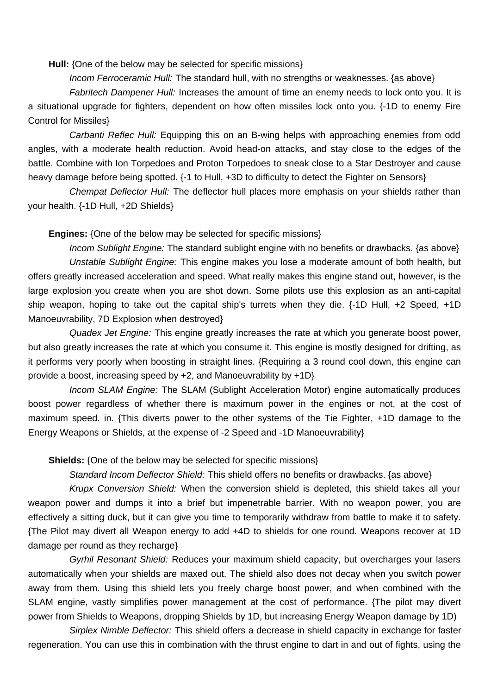**Hull:** {One of the below may be selected for specific missions}

Incom Ferroceramic Hull: The standard hull, with no strengths or weaknesses. {as above}

Fabritech Dampener Hull: Increases the amount of time an enemy needs to lock onto you. It is a situational upgrade for fighters, dependent on how often missiles lock onto you. {-1D to enemy Fire Control for Missiles}

 Carbanti Reflec Hull: Equipping this on an B-wing helps with approaching enemies from odd angles, with a moderate health reduction. Avoid head-on attacks, and stay close to the edges of the battle. Combine with Ion Torpedoes and Proton Torpedoes to sneak close to a Star Destroyer and cause heavy damage before being spotted.  $\{-1\}$  to Hull,  $\pm 3D$  to difficulty to detect the Fighter on Sensors}

 Chempat Deflector Hull: The deflector hull places more emphasis on your shields rather than your health. {-1D Hull, +2D Shields}

## **Engines:** {One of the below may be selected for specific missions}

 Incom Sublight Engine: The standard sublight engine with no benefits or drawbacks. {as above} Unstable Sublight Engine: This engine makes you lose a moderate amount of both health, but offers greatly increased acceleration and speed. What really makes this engine stand out, however, is the large explosion you create when you are shot down. Some pilots use this explosion as an anti-capital ship weapon, hoping to take out the capital ship's turrets when they die. {-1D Hull, +2 Speed, +1D Manoeuvrability, 7D Explosion when destroyed}

Quadex Jet Engine: This engine greatly increases the rate at which you generate boost power. but also greatly increases the rate at which you consume it. This engine is mostly designed for drifting, as it performs very poorly when boosting in straight lines. {Requiring a 3 round cool down, this engine can provide a boost, increasing speed by +2, and Manoeuvrability by +1D}

Incom SLAM Engine: The SLAM (Sublight Acceleration Motor) engine automatically produces boost power regardless of whether there is maximum power in the engines or not, at the cost of maximum speed. in. {This diverts power to the other systems of the Tie Fighter, +1D damage to the Energy Weapons or Shields, at the expense of -2 Speed and -1D Manoeuvrability}

## **Shields:** {One of the below may be selected for specific missions}

Standard Incom Deflector Shield: This shield offers no benefits or drawbacks. {as above}

 Krupx Conversion Shield: When the conversion shield is depleted, this shield takes all your weapon power and dumps it into a brief but impenetrable barrier. With no weapon power, you are effectively a sitting duck, but it can give you time to temporarily withdraw from battle to make it to safety. {The Pilot may divert all Weapon energy to add +4D to shields for one round. Weapons recover at 1D damage per round as they recharge}

 Gyrhil Resonant Shield: Reduces your maximum shield capacity, but overcharges your lasers automatically when your shields are maxed out. The shield also does not decay when you switch power away from them. Using this shield lets you freely charge boost power, and when combined with the SLAM engine, vastly simplifies power management at the cost of performance. {The pilot may divert power from Shields to Weapons, dropping Shields by 1D, but increasing Energy Weapon damage by 1D)

 Sirplex Nimble Deflector: This shield offers a decrease in shield capacity in exchange for faster regeneration. You can use this in combination with the thrust engine to dart in and out of fights, using the